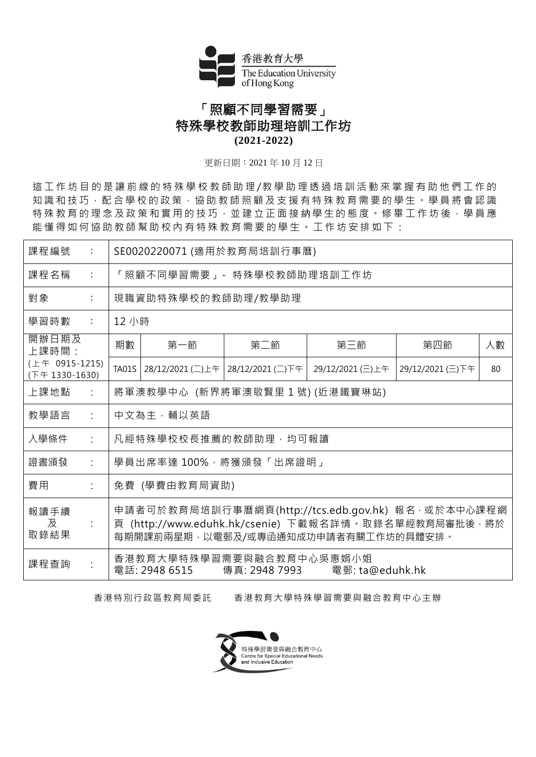

## 「照顧不同學習需要」 特殊學校教師助理培訓工作坊 **(2021-2022)**

更新日期︰2021 年 10 月 12 日

這 工 作 坊 目 的 是 讓 前 線 的 特 殊 學 校 教 師 助 理 / 教 學 助 理 透 過 培 訓 活 動 來 掌 握 有 助 他 們 工 作 的 知識 和技 巧, 配 合 學 校 的 政 策, 協 助 教 師 照 顧 及 支 援 有 特 殊 教 育 需 要 的 學 生 。 學 員 將 會 認 識 特殊教育的理念及政策和實用的技巧,並建立正面接納學生的態度。修畢工作坊後,學員應 能懂得如何協助教師幫助校內有特殊教育需要的學生。工作坊安排如下:

| 課程編號<br>$\ddot{\phantom{a}}$            | SE0020220071 (適用於教育局培訓行事曆)                                                                                                                          |       |                                   |                  |                  |    |  |  |  |  |
|-----------------------------------------|-----------------------------------------------------------------------------------------------------------------------------------------------------|-------|-----------------------------------|------------------|------------------|----|--|--|--|--|
| 課程名稱<br>$\ddot{\cdot}$                  | 「照顧不同學習需要」- 特殊學校教師助理培訓工作坊                                                                                                                           |       |                                   |                  |                  |    |  |  |  |  |
| 對象<br>$\ddot{\cdot}$                    | 現職資助特殊學校的教師助理/教學助理                                                                                                                                  |       |                                   |                  |                  |    |  |  |  |  |
| 學習時數<br>$\sim 100$                      |                                                                                                                                                     | 12 小時 |                                   |                  |                  |    |  |  |  |  |
| 開辦日期及<br>上課時間:                          | 期數                                                                                                                                                  | 第一節   | 第二節                               | 第三節              | 第四節              | 人數 |  |  |  |  |
| $(\pm 4 0915 - 1215)$<br>(下午 1330-1630) | <b>TA01S</b>                                                                                                                                        |       | 28/12/2021 (二)上午 28/12/2021 (二)下午 | 29/12/2021 (三)上午 | 29/12/2021 (三)下午 | 80 |  |  |  |  |
| 上課地點<br>$\dot{\mathcal{L}}$             | 將軍澳教學中心 (新界將軍澳敬賢里1號)(近港鐵寶琳站)                                                                                                                        |       |                                   |                  |                  |    |  |  |  |  |
| 教學語言<br>$\ddot{\phantom{a}}$            | 中文為主,輔以英語                                                                                                                                           |       |                                   |                  |                  |    |  |  |  |  |
| 入學條件<br>$\ddot{\cdot}$                  | 凡經特殊學校校長推薦的教師助理,均可報讀                                                                                                                                |       |                                   |                  |                  |    |  |  |  |  |
| 證書頒發<br>÷                               | 學員出席率達 100%,將獲頒發「出席證明」                                                                                                                              |       |                                   |                  |                  |    |  |  |  |  |
| 費用                                      | 免費 (學費由教育局資助)                                                                                                                                       |       |                                   |                  |                  |    |  |  |  |  |
| 報讀手續<br>及<br>÷<br>取錄結果                  | 申請者可於教育局培訓行事曆網頁(http://tcs.edb.gov.hk) 報名 · 或於本中心課程網<br>頁 (http://www.eduhk.hk/csenie) 下載報名詳情。取錄名單經教育局審批後,將於<br>每期開課前兩星期‧以電郵及/或專函通知成功申請者有關工作坊的具體安排。 |       |                                   |                  |                  |    |  |  |  |  |
| 課程查詢                                    | 香港教育大學特殊學習需要與融合教育中心吳惠娟小姐<br>電話: 2948 6515 傳真: 2948 7993 電郵: ta@eduhk.hk                                                                             |       |                                   |                  |                  |    |  |  |  |  |

香港特別行政區教育局委託 香港教育大學特殊學習需要與融合教育中心主辦